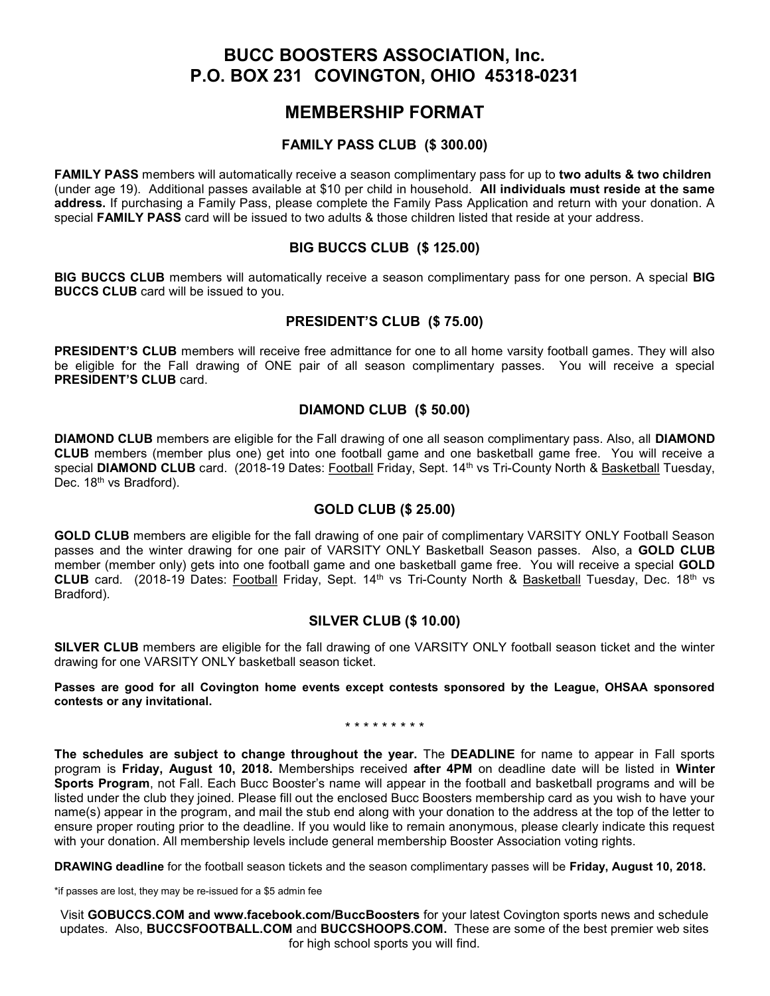# BUCC BOOSTERS ASSOCIATION, Inc. P.O. BOX 231 COVINGTON, OHIO 45318-0231

### MEMBERSHIP FORMAT

### FAMILY PASS CLUB (\$ 300.00)

FAMILY PASS members will automatically receive a season complimentary pass for up to two adults & two children (under age 19). Additional passes available at \$10 per child in household. All individuals must reside at the same address. If purchasing a Family Pass, please complete the Family Pass Application and return with your donation. A special FAMILY PASS card will be issued to two adults & those children listed that reside at your address.

### BIG BUCCS CLUB (\$ 125.00)

BIG BUCCS CLUB members will automatically receive a season complimentary pass for one person. A special BIG BUCCS CLUB card will be issued to you.

### PRESIDENT'S CLUB (\$ 75.00)

PRESIDENT'S CLUB members will receive free admittance for one to all home varsity football games. They will also be eligible for the Fall drawing of ONE pair of all season complimentary passes. You will receive a special PRESIDENT'S CLUB card.

### DIAMOND CLUB (\$ 50.00)

DIAMOND CLUB members are eligible for the Fall drawing of one all season complimentary pass. Also, all DIAMOND CLUB members (member plus one) get into one football game and one basketball game free. You will receive a special DIAMOND CLUB card. (2018-19 Dates: Football Friday, Sept. 14<sup>th</sup> vs Tri-County North & Basketball Tuesday, Dec. 18<sup>th</sup> vs Bradford).

#### GOLD CLUB (\$ 25.00)

GOLD CLUB members are eligible for the fall drawing of one pair of complimentary VARSITY ONLY Football Season passes and the winter drawing for one pair of VARSITY ONLY Basketball Season passes. Also, a GOLD CLUB member (member only) gets into one football game and one basketball game free. You will receive a special GOLD CLUB card. (2018-19 Dates: Football Friday, Sept. 14<sup>th</sup> vs Tri-County North & Basketball Tuesday, Dec. 18<sup>th</sup> vs Bradford).

#### SILVER CLUB (\$ 10.00)

SILVER CLUB members are eligible for the fall drawing of one VARSITY ONLY football season ticket and the winter drawing for one VARSITY ONLY basketball season ticket.

Passes are good for all Covington home events except contests sponsored by the League, OHSAA sponsored contests or any invitational.

#### \* \* \* \* \* \* \* \* \*

The schedules are subject to change throughout the year. The DEADLINE for name to appear in Fall sports program is Friday, August 10, 2018. Memberships received after 4PM on deadline date will be listed in Winter Sports Program, not Fall. Each Bucc Booster's name will appear in the football and basketball programs and will be listed under the club they joined. Please fill out the enclosed Bucc Boosters membership card as you wish to have your name(s) appear in the program, and mail the stub end along with your donation to the address at the top of the letter to ensure proper routing prior to the deadline. If you would like to remain anonymous, please clearly indicate this request with your donation. All membership levels include general membership Booster Association voting rights.

DRAWING deadline for the football season tickets and the season complimentary passes will be Friday, August 10, 2018.

\*if passes are lost, they may be re-issued for a \$5 admin fee

Visit GOBUCCS.COM and www.facebook.com/BuccBoosters for your latest Covington sports news and schedule updates. Also, BUCCSFOOTBALL.COM and BUCCSHOOPS.COM. These are some of the best premier web sites for high school sports you will find.